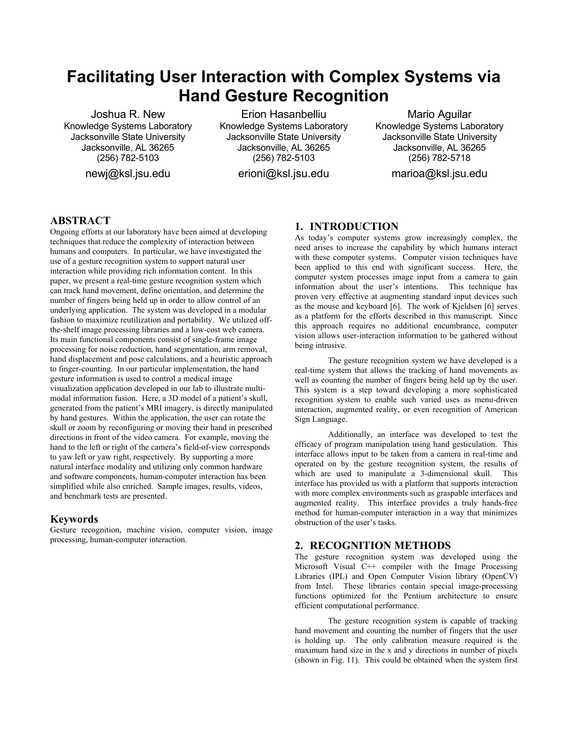# **Facilitating User Interaction with Complex Systems via Hand Gesture Recognition**

Joshua R. New Knowledge Systems Laboratory Jacksonville State University Jacksonville, AL 36265 (256) 782-5103

newj@ksl.jsu.edu

Erion Hasanbelliu Knowledge Systems Laboratory Jacksonville State University Jacksonville, AL 36265 (256) 782-5103

erioni@ksl.jsu.edu

Mario Aguilar Knowledge Systems Laboratory Jacksonville State University Jacksonville, AL 36265 (256) 782-5718

marioa@ksl.jsu.edu

## **ABSTRACT**

Ongoing efforts at our laboratory have been aimed at developing techniques that reduce the complexity of interaction between humans and computers. In particular, we have investigated the use of a gesture recognition system to support natural user interaction while providing rich information content. In this paper, we present a real-time gesture recognition system which can track hand movement, define orientation, and determine the number of fingers being held up in order to allow control of an underlying application. The system was developed in a modular fashion to maximize reutilization and portability. We utilized offthe-shelf image processing libraries and a low-cost web camera. Its main functional components consist of single-frame image processing for noise reduction, hand segmentation, arm removal, hand displacement and pose calculations, and a heuristic approach to finger-counting. In our particular implementation, the hand gesture information is used to control a medical image visualization application developed in our lab to illustrate multimodal information fusion. Here, a 3D model of a patient's skull, generated from the patient's MRI imagery, is directly manipulated by hand gestures. Within the application, the user can rotate the skull or zoom by reconfiguring or moving their hand in prescribed directions in front of the video camera. For example, moving the hand to the left or right of the camera's field-of-view corresponds to yaw left or yaw right, respectively. By supporting a more natural interface modality and utilizing only common hardware and software components, human-computer interaction has been simplified while also enriched. Sample images, results, videos, and benchmark tests are presented.

## **Keywords**

Gesture recognition, machine vision, computer vision, image processing, human-computer interaction.

# **1. INTRODUCTION**

As today's computer systems grow increasingly complex, the need arises to increase the capability by which humans interact with these computer systems. Computer vision techniques have been applied to this end with significant success. Here, the computer system processes image input from a camera to gain information about the user's intentions. This technique has proven very effective at augmenting standard input devices such as the mouse and keyboard [6]. The work of Kjeldsen [6] serves as a platform for the efforts described in this manuscript. Since this approach requires no additional encumbrance, computer vision allows user-interaction information to be gathered without being intrusive.

The gesture recognition system we have developed is a real-time system that allows the tracking of hand movements as well as counting the number of fingers being held up by the user. This system is a step toward developing a more sophisticated recognition system to enable such varied uses as menu-driven interaction, augmented reality, or even recognition of American Sign Language.

Additionally, an interface was developed to test the efficacy of program manipulation using hand gesticulation. This interface allows input to be taken from a camera in real-time and operated on by the gesture recognition system, the results of which are used to manipulate a 3-dimensional skull. This interface has provided us with a platform that supports interaction with more complex environments such as graspable interfaces and augmented reality. This interface provides a truly hands-free method for human-computer interaction in a way that minimizes obstruction of the user's tasks.

## **2. RECOGNITION METHODS**

The gesture recognition system was developed using the Microsoft Visual C++ compiler with the Image Processing Libraries (IPL) and Open Computer Vision library (OpenCV) from Intel. These libraries contain special image-processing functions optimized for the Pentium architecture to ensure efficient computational performance.

The gesture recognition system is capable of tracking hand movement and counting the number of fingers that the user is holding up. The only calibration measure required is the maximum hand size in the x and y directions in number of pixels (shown in Fig. 11). This could be obtained when the system first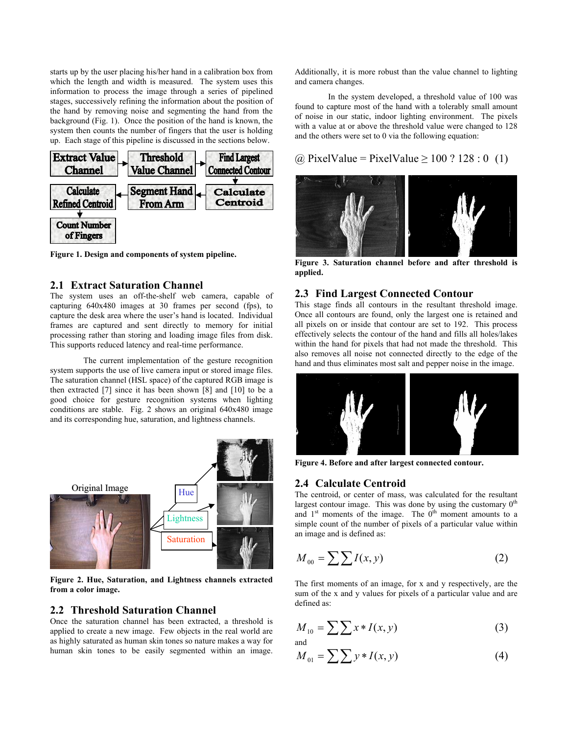starts up by the user placing his/her hand in a calibration box from which the length and width is measured. The system uses this information to process the image through a series of pipelined stages, successively refining the information about the position of the hand by removing noise and segmenting the hand from the background (Fig. 1). Once the position of the hand is known, the system then counts the number of fingers that the user is holding up. Each stage of this pipeline is discussed in the sections below.



**Figure 1. Design and components of system pipeline.** 

## **2.1 Extract Saturation Channel**

The system uses an off-the-shelf web camera, capable of capturing 640x480 images at 30 frames per second (fps), to capture the desk area where the user's hand is located. Individual frames are captured and sent directly to memory for initial processing rather than storing and loading image files from disk. This supports reduced latency and real-time performance.

The current implementation of the gesture recognition system supports the use of live camera input or stored image files. The saturation channel (HSL space) of the captured RGB image is then extracted [7] since it has been shown [8] and [10] to be a good choice for gesture recognition systems when lighting conditions are stable. Fig. 2 shows an original 640x480 image and its corresponding hue, saturation, and lightness channels.



**Figure 2. Hue, Saturation, and Lightness channels extracted from a color image.**

#### **2.2 Threshold Saturation Channel**

Once the saturation channel has been extracted, a threshold is applied to create a new image. Few objects in the real world are as highly saturated as human skin tones so nature makes a way for human skin tones to be easily segmented within an image.

Additionally, it is more robust than the value channel to lighting and camera changes.

In the system developed, a threshold value of 100 was found to capture most of the hand with a tolerably small amount of noise in our static, indoor lighting environment. The pixels with a value at or above the threshold value were changed to 128 and the others were set to 0 via the following equation:

# $\omega$  PixelValue = PixelValue  $\geq 100$  ? 128 : 0 (1)



**Figure 3. Saturation channel before and after threshold is applied.**

#### **2.3 Find Largest Connected Contour**

This stage finds all contours in the resultant threshold image. Once all contours are found, only the largest one is retained and all pixels on or inside that contour are set to 192. This process effectively selects the contour of the hand and fills all holes/lakes within the hand for pixels that had not made the threshold. This also removes all noise not connected directly to the edge of the hand and thus eliminates most salt and pepper noise in the image.



**Figure 4. Before and after largest connected contour.**

#### **2.4 Calculate Centroid**

The centroid, or center of mass, was calculated for the resultant largest contour image. This was done by using the customary  $0<sup>th</sup>$ and  $1<sup>st</sup>$  moments of the image. The  $0<sup>th</sup>$  moment amounts to a simple count of the number of pixels of a particular value within an image and is defined as:

$$
M_{00} = \sum \sum I(x, y) \tag{2}
$$

The first moments of an image, for x and y respectively, are the sum of the x and y values for pixels of a particular value and are defined as:

$$
M_{10} = \sum \sum x * I(x, y)
$$
 (3)

$$
M_{01} = \sum \sum y * I(x, y) \tag{4}
$$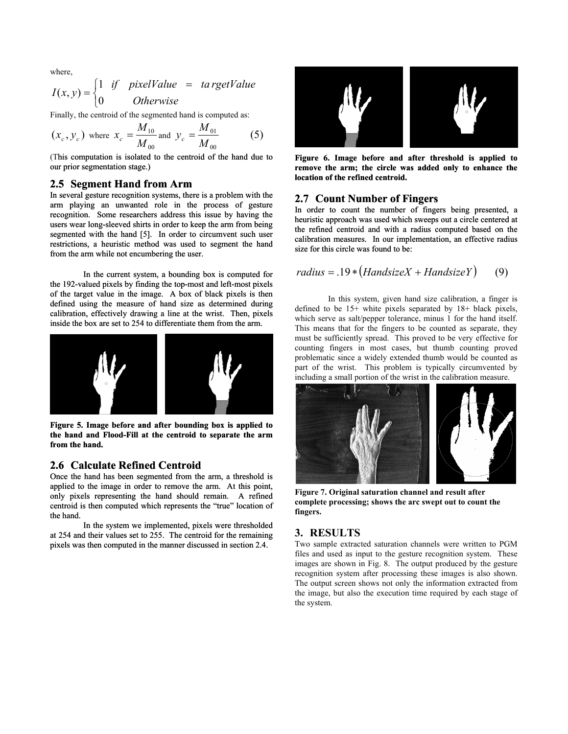where,

$$
I(x, y) = \begin{cases} 1 & \text{if } pixelValue = ta\,rgetValue \\ 0 & \text{Otherwise} \end{cases}
$$

Finally, the centroid of the segmented hand is computed as:

$$
(x_c, y_c)
$$
 where  $x_c = \frac{M_{10}}{M_{00}}$  and  $y_c = \frac{M_{01}}{M_{00}}$  (5)

(This computation is isolated to the centroid of the hand due to our prior segmentation stage.)

## **2.5 Segment Hand from Arm** *Arm Botation of the remea centroid*

In several gesture recognition systems, there is a problem with the arm playing an unwanted role in the process of gesture recognition. Some researchers address this issue by having the users wear long-sleeved shirts in order to keep the arm from being segmented with the hand [5]. In order to circumvent such user restrictions, a heuristic method was used to segment the hand from the arm while not encumbering the user.

the 192-valued pixels by finding the top-most and left-most pixels of the target value in the image. A box of black pixels is then defined using the measure of hand size as determined during calibration, effectively drawing a line at the wrist. Then, pixels inside the box are set to 254 to differentiate them from the arm.



**Figure 5. Image before and after bounding box is applied to the hand and Flood-Fill at the centroid to separate the arm from the hand.**

## **2.6 Calculate Refined Centroid**

Once the hand has been segmented from the arm, a threshold is applied to the image in order to remove the arm. At this point, only pixels representing the hand should remain. A refined centroid is then computed which represents the "true" location of the hand.

at 254 and their values set to 255. The centroid for the remaining In the system we implemented, pixels were thresholded pixels was then computed in the manner discussed in section 2.4.



Figure 6. Image before and after threshold is applied to **remove the arm; the circle was added only to enhance the location of the refined centroid.**

#### **2.7 Count Number of Fingers**

In order to count the number of fingers being presented, a heuristic approach was used which sweeps out a circle centered at the refined centroid and with a radius computed based on the calibration measures. In our implementation, an effective radius size for this circle was found to be:

In the current system, a bounding box is computed for 
$$
radius = .19 * (Handsize X + Handsize Y)
$$
 (9)

In this system, given hand size calibration, a finger is defined to be 15+ white pixels separated by 18+ black pixels, which serve as salt/pepper tolerance, minus 1 for the hand itself. This means that for the fingers to be counted as separate, they must be sufficiently spread. This proved to be very effective for counting fingers in most cases, but thumb counting proved problematic since a widely extended thumb would be counted as part of the wrist. This problem is typically circumvented by including a small portion of the wrist in the calibration measure.



**Figure 7. Original saturation channel and result after complete processing; shows the arc swept out to count the fingers.** 

#### **3. RESULTS**

Two sample extracted saturation channels were written to PGM files and used as input to the gesture recognition system. These images are shown in Fig. 8. The output produced by the gesture recognition system after processing these images is also shown. The output screen shows not only the information extracted from the image, but also the execution time required by each stage of the system.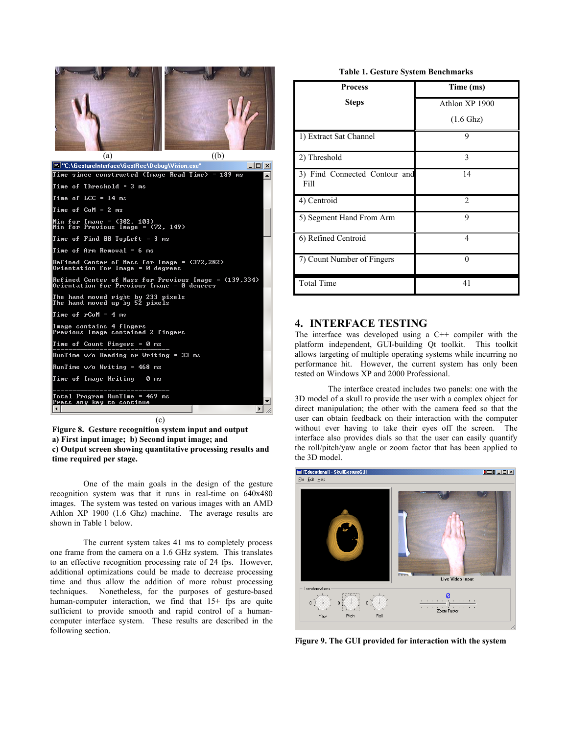| (a)<br>$(\mathbf{b})$                                                                               |  |  |
|-----------------------------------------------------------------------------------------------------|--|--|
| "C:\GestureInterface\GestRec\Debug\Vision.exe"<br>$ \Box$ $\times$                                  |  |  |
| Time since constructed (Image Read Time) = 189 ms                                                   |  |  |
| Time of Threshold = 3 ms                                                                            |  |  |
| Time of LCC = 14 ms                                                                                 |  |  |
| Time of CoM = 2 ms                                                                                  |  |  |
| Min for Image = <302, 103><br>Min for Previous Image = <72, 149>                                    |  |  |
| Time of Find BB TopLeft = 3 ms                                                                      |  |  |
| Time of Arm Removal = 6 ms                                                                          |  |  |
| Refined Center of Mass for Image = (372,282)<br>Orientation for Image = 0 degrees                   |  |  |
| Refined Center of Mass for Previous Image = <139,334><br>Orientation for Previous Image = 0 degrees |  |  |
| The hand moved right by 233 pixels<br>The hand moved up by 52 pixels                                |  |  |
| Time of rCoM = 4 ms                                                                                 |  |  |
| Image contains 4 fingers<br>Previous Image contained 2 fingers                                      |  |  |
| Time of Count Fingers = 0 ms                                                                        |  |  |
| RunTime w/o Reading or Writing = 33 ms                                                              |  |  |
| RunTime w⁄o Writing = 468 ms                                                                        |  |  |
| Time of Image Writing = 0 ms                                                                        |  |  |
| Iotal Program RunTime = 469 ms<br>Press any key to continue                                         |  |  |
|                                                                                                     |  |  |
| (c)                                                                                                 |  |  |

 **Figure 8. Gesture recognition system input and output a) First input image; b) Second input image; and c) Output screen showing quantitative processing results and time required per stage.** 

One of the main goals in the design of the gesture recognition system was that it runs in real-time on 640x480 images. The system was tested on various images with an AMD Athlon XP 1900 (1.6 Ghz) machine. The average results are shown in Table 1 below.

The current system takes 41 ms to completely process one frame from the camera on a 1.6 GHz system. This translates to an effective recognition processing rate of 24 fps. However, additional optimizations could be made to decrease processing time and thus allow the addition of more robust processing techniques. Nonetheless, for the purposes of gesture-based human-computer interaction, we find that 15+ fps are quite sufficient to provide smooth and rapid control of a humancomputer interface system. These results are described in the following section.

#### **Table 1. Gesture System Benchmarks**

| <b>Process</b>                        | Time (ms)           |
|---------------------------------------|---------------------|
| <b>Steps</b>                          | Athlon XP 1900      |
|                                       | $(1.6 \text{ Ghz})$ |
| 1) Extract Sat Channel                | 9                   |
| 2) Threshold                          | 3                   |
| 3) Find Connected Contour and<br>Fill | 14                  |
| 4) Centroid                           | $\overline{2}$      |
| 5) Segment Hand From Arm              | 9                   |
| 6) Refined Centroid                   | 4                   |
| 7) Count Number of Fingers            | $\Omega$            |
| <b>Total Time</b>                     | 41                  |

# **4. INTERFACE TESTING**

The interface was developed using a C++ compiler with the platform independent, GUI-building Qt toolkit. This toolkit allows targeting of multiple operating systems while incurring no performance hit. However, the current system has only been tested on Windows XP and 2000 Professional.

The interface created includes two panels: one with the 3D model of a skull to provide the user with a complex object for direct manipulation; the other with the camera feed so that the user can obtain feedback on their interaction with the computer without ever having to take their eyes off the screen. The interface also provides dials so that the user can easily quantify the roll/pitch/yaw angle or zoom factor that has been applied to the 3D model.



**Figure 9. The GUI provided for interaction with the system**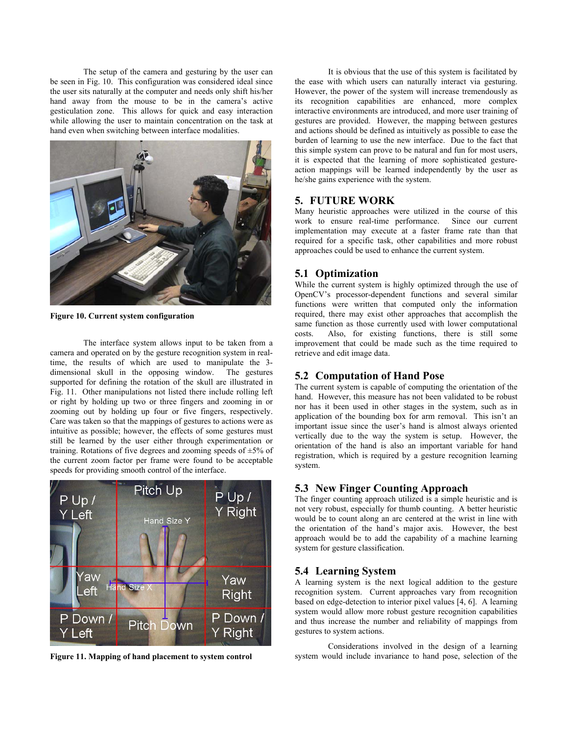The setup of the camera and gesturing by the user can be seen in Fig. 10. This configuration was considered ideal since the user sits naturally at the computer and needs only shift his/her hand away from the mouse to be in the camera's active gesticulation zone. This allows for quick and easy interaction while allowing the user to maintain concentration on the task at hand even when switching between interface modalities.



**Figure 10. Current system configuration**

The interface system allows input to be taken from a camera and operated on by the gesture recognition system in realtime, the results of which are used to manipulate the 3 dimensional skull in the opposing window. The gestures supported for defining the rotation of the skull are illustrated in Fig. 11. Other manipulations not listed there include rolling left or right by holding up two or three fingers and zooming in or zooming out by holding up four or five fingers, respectively. Care was taken so that the mappings of gestures to actions were as intuitive as possible; however, the effects of some gestures must still be learned by the user either through experimentation or training. Rotations of five degrees and zooming speeds of  $\pm$ 5% of the current zoom factor per frame were found to be acceptable speeds for providing smooth control of the interface.



It is obvious that the use of this system is facilitated by the ease with which users can naturally interact via gesturing. However, the power of the system will increase tremendously as its recognition capabilities are enhanced, more complex interactive environments are introduced, and more user training of gestures are provided. However, the mapping between gestures and actions should be defined as intuitively as possible to ease the burden of learning to use the new interface. Due to the fact that this simple system can prove to be natural and fun for most users, it is expected that the learning of more sophisticated gestureaction mappings will be learned independently by the user as he/she gains experience with the system.

## **5. FUTURE WORK**

Many heuristic approaches were utilized in the course of this work to ensure real-time performance. Since our current implementation may execute at a faster frame rate than that required for a specific task, other capabilities and more robust approaches could be used to enhance the current system.

#### **5.1 Optimization**

While the current system is highly optimized through the use of OpenCV's processor-dependent functions and several similar functions were written that computed only the information required, there may exist other approaches that accomplish the same function as those currently used with lower computational costs. Also, for existing functions, there is still some improvement that could be made such as the time required to retrieve and edit image data.

### **5.2 Computation of Hand Pose**

The current system is capable of computing the orientation of the hand. However, this measure has not been validated to be robust nor has it been used in other stages in the system, such as in application of the bounding box for arm removal. This isn't an important issue since the user's hand is almost always oriented vertically due to the way the system is setup. However, the orientation of the hand is also an important variable for hand registration, which is required by a gesture recognition learning system.

## **5.3 New Finger Counting Approach**

The finger counting approach utilized is a simple heuristic and is not very robust, especially for thumb counting. A better heuristic would be to count along an arc centered at the wrist in line with the orientation of the hand's major axis. However, the best approach would be to add the capability of a machine learning system for gesture classification.

## **5.4 Learning System**

A learning system is the next logical addition to the gesture recognition system. Current approaches vary from recognition based on edge-detection to interior pixel values [4, 6]. A learning system would allow more robust gesture recognition capabilities and thus increase the number and reliability of mappings from gestures to system actions.

Considerations involved in the design of a learning Figure 11. Mapping of hand placement to system control system would include invariance to hand pose, selection of the